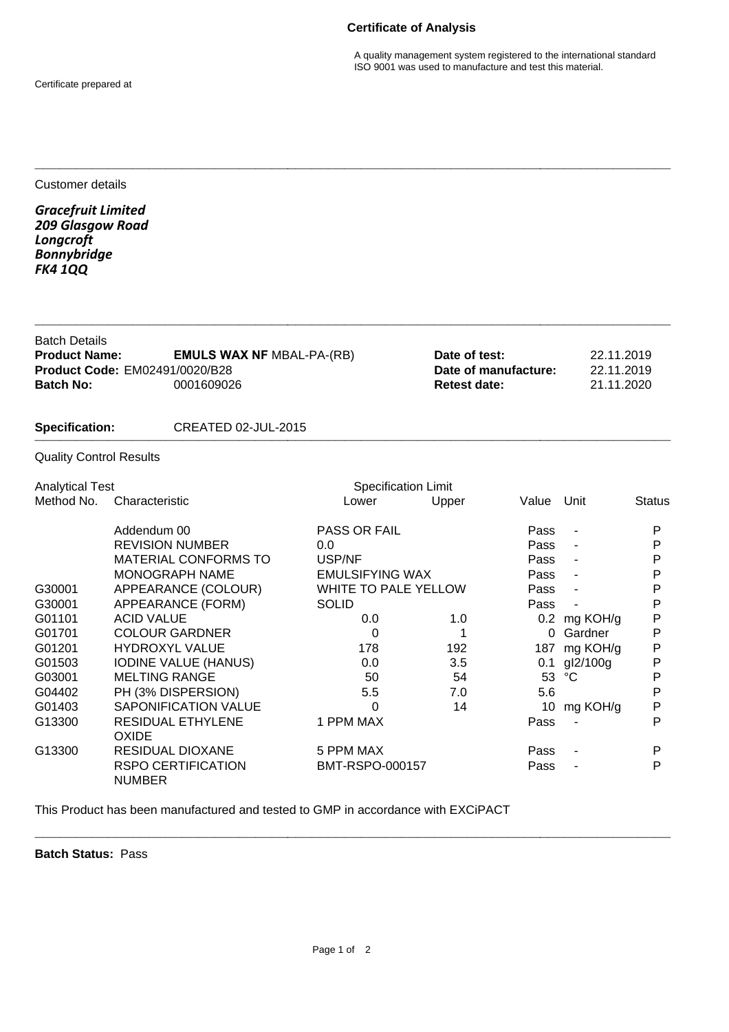## **Certificate of Analysis**

Certificate prepared at

A quality management system registered to the international standard ISO 9001 was used to manufacture and test this material.

Customer details

*Gracefruit Limited 209 Glasgow Road Longcroft Bonnybridge FK4 1QQ*

| <b>Batch Details</b><br><b>Product Name:</b><br><b>Product Code: EM02491/0020/B28</b> | <b>EMULS WAX NF MBAL-PA-(RB)</b> | Date of test:<br>Date of manufacture: | 22.11.2019<br>22.11.2019 |  |
|---------------------------------------------------------------------------------------|----------------------------------|---------------------------------------|--------------------------|--|
| <b>Batch No:</b>                                                                      | 0001609026                       | <b>Retest date:</b>                   | 21.11.2020               |  |
| <b>Specification:</b>                                                                 | CREATED 02-JUL-2015              |                                       |                          |  |
| <b>Quality Control Results</b>                                                        |                                  |                                       |                          |  |

**\_\_\_\_\_\_\_\_\_\_\_\_\_\_\_\_\_\_\_\_\_\_\_\_\_\_\_\_\_\_\_\_\_\_\_\_\_\_\_\_\_\_\_\_\_\_\_\_\_\_\_\_\_\_\_\_\_\_\_\_\_\_\_\_\_\_\_\_\_\_\_\_\_\_\_\_\_\_**

**\_\_\_\_\_\_\_\_\_\_\_\_\_\_\_\_\_\_\_\_\_\_\_\_\_\_\_\_\_\_\_\_\_\_\_\_\_\_\_\_\_\_\_\_\_\_\_\_\_\_\_\_\_\_\_\_\_\_\_\_\_\_\_\_\_\_\_\_\_\_\_\_\_\_\_\_\_\_**

Analytical Test **Specification Limit** Specification Limit Method No. Characteristic **No.** Characteristic Lower Upper Value Unit Status Addendum 00 **PASS OR FAIL** Pass - P<br>REVISION NUMBER 0.0 00 Pass - P REVISION NUMBER 0.0 Pass - P MATERIAL CONFORMS TO USP/NF Pass - P MONOGRAPH NAME EMULSIFYING WAX Pass -G30001 APPEARANCE (COLOUR) WHITE TO PALE YELLOW Pass - P G30001 APPEARANCE (FORM) SOLID Pass - P G01101 ACID VALUE 0.0 0.0 1.0 0.2 mg KOH/g G01701 COLOUR GARDNER 0 1 0 Gardner P G01201 HYDROXYL VALUE 178 192 187 mg KOH/g P G01503 IODINE VALUE (HANUS) 0.0 3.5 0.1 gI2/100g P<br>G03001 MELTING RANGE 50 54 53 °C P G03001 MELTING RANGE 50 54 53 °C G04402 PH (3% DISPERSION) 5.5 7.0 5.6 P G01403 SAPONIFICATION VALUE  $\begin{array}{ccc} 0 & 14 & 10 \text{ mg KOH/g} & \text{P} \\ \text{G13300} & \text{RESIDUAL ETHYI ENF} & 1 \text{ PPM MAX} & \text{Pass} & \text{P} \end{array}$ G13300 RESIDUAL ETHYLENE 1 PPM MAX Pass - Pass OXIDE G13300 RESIDUAL DIOXANE 5 PPM MAX Pass - P RSPO CERTIFICATION BMT-RSPO-000157 Pass - P NUMBER

This Product has been manufactured and tested to GMP in accordance with EXCiPACT

**Batch Status:** Pass

**\_\_\_\_\_\_\_\_\_\_\_\_\_\_\_\_\_\_\_\_\_\_\_\_\_\_\_\_\_\_\_\_\_\_\_\_\_\_\_\_\_\_\_\_\_\_\_\_\_\_\_\_\_\_\_\_\_\_\_\_\_\_\_\_\_\_\_\_\_\_\_\_\_\_\_\_\_\_**